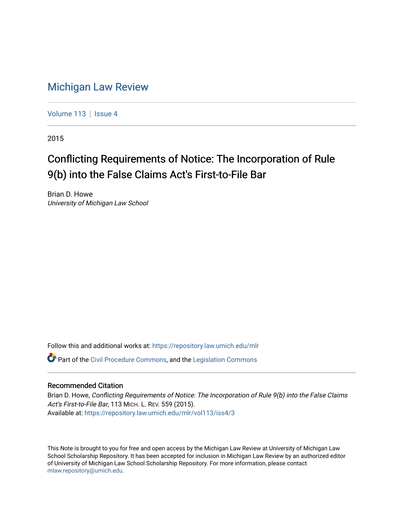## [Michigan Law Review](https://repository.law.umich.edu/mlr)

[Volume 113](https://repository.law.umich.edu/mlr/vol113) | [Issue 4](https://repository.law.umich.edu/mlr/vol113/iss4)

2015

# Conflicting Requirements of Notice: The Incorporation of Rule 9(b) into the False Claims Act's First-to-File Bar

Brian D. Howe University of Michigan Law School

Follow this and additional works at: [https://repository.law.umich.edu/mlr](https://repository.law.umich.edu/mlr?utm_source=repository.law.umich.edu%2Fmlr%2Fvol113%2Fiss4%2F3&utm_medium=PDF&utm_campaign=PDFCoverPages) 

Part of the [Civil Procedure Commons,](http://network.bepress.com/hgg/discipline/584?utm_source=repository.law.umich.edu%2Fmlr%2Fvol113%2Fiss4%2F3&utm_medium=PDF&utm_campaign=PDFCoverPages) and the [Legislation Commons](http://network.bepress.com/hgg/discipline/859?utm_source=repository.law.umich.edu%2Fmlr%2Fvol113%2Fiss4%2F3&utm_medium=PDF&utm_campaign=PDFCoverPages) 

### Recommended Citation

Brian D. Howe, Conflicting Requirements of Notice: The Incorporation of Rule 9(b) into the False Claims Act's First-to-File Bar, 113 MICH. L. REV. 559 (2015). Available at: [https://repository.law.umich.edu/mlr/vol113/iss4/3](https://repository.law.umich.edu/mlr/vol113/iss4/3?utm_source=repository.law.umich.edu%2Fmlr%2Fvol113%2Fiss4%2F3&utm_medium=PDF&utm_campaign=PDFCoverPages) 

This Note is brought to you for free and open access by the Michigan Law Review at University of Michigan Law School Scholarship Repository. It has been accepted for inclusion in Michigan Law Review by an authorized editor of University of Michigan Law School Scholarship Repository. For more information, please contact [mlaw.repository@umich.edu.](mailto:mlaw.repository@umich.edu)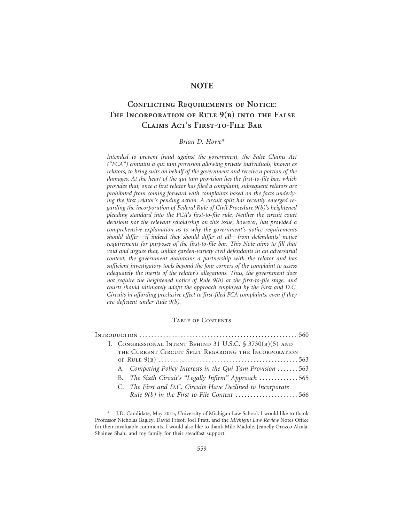#### **NOTE**

### **Conflicting Requirements of Notice: The Incorporation of Rule 9(b) into the False Claims Act's First-to-File Bar**

#### *Brian D. Howe\**

*Intended to prevent fraud against the government, the False Claims Act ("FCA") contains a qui tam provision allowing private individuals, known as relators, to bring suits on behalf of the government and receive a portion of the damages. At the heart of the qui tam provision lies the first-to-file bar, which provides that, once a first relator has filed a complaint, subsequent relators are prohibited from coming forward with complaints based on the facts underlying the first relator's pending action. A circuit split has recently emerged regarding the incorporation of Federal Rule of Civil Procedure 9(b)'s heightened pleading standard into the FCA's first-to-file rule. Neither the circuit court decisions nor the relevant scholarship on this issue, however, has provided a comprehensive explanation as to why the government's notice requirements should differ*—*if indeed they should differ at all*—*from defendants' notice requirements for purposes of the first-to-file bar. This Note aims to fill that void and argues that, unlike garden-variety civil defendants in an adversarial context, the government maintains a partnership with the relator and has sufficient investigatory tools beyond the four corners of the complaint to assess adequately the merits of the relator's allegations. Thus, the government does not require the heightened notice of Rule 9(b) at the first-to-file stage, and courts should ultimately adopt the approach employed by the First and D.C. Circuits in affording preclusive effect to first-filed FCA complaints, even if they are deficient under Rule 9(b).*

#### Table of Contents

| I. CONGRESSIONAL INTENT BEHIND 31 U.S.C. § 3730(B)(5) AND |                                                             |  |  |  |
|-----------------------------------------------------------|-------------------------------------------------------------|--|--|--|
| THE CURRENT CIRCUIT SPLIT REGARDING THE INCORPORATION     |                                                             |  |  |  |
|                                                           |                                                             |  |  |  |
|                                                           | A. Competing Policy Interests in the Qui Tam Provision 563  |  |  |  |
|                                                           | B. The Sixth Circuit's "Legally Infirm" Approach 565        |  |  |  |
|                                                           | C. The First and D.C. Circuits Have Declined to Incorporate |  |  |  |
|                                                           |                                                             |  |  |  |
|                                                           |                                                             |  |  |  |

<sup>\*</sup> J.D. Candidate, May 2015, University of Michigan Law School. I would like to thank Professor Nicholas Bagley, David Frisof, Joel Pratt, and the *Michigan Law Review* Notes Office for their invaluable comments. I would also like to thank Milo Madole, Jeanelly Orozco Alcal´a, Shainee Shah, and my family for their steadfast support.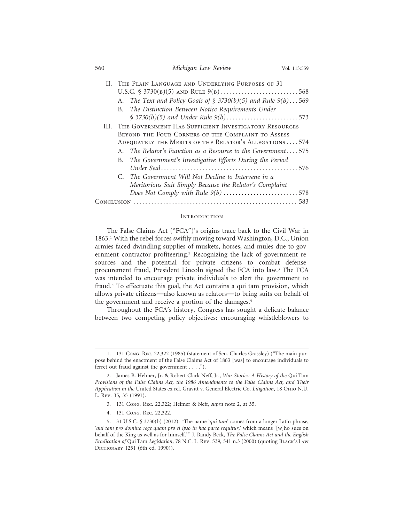| 560 |                                                            | Michigan Law Review                                               | [Vol. 113:559] |  |  |
|-----|------------------------------------------------------------|-------------------------------------------------------------------|----------------|--|--|
|     | II. THE PLAIN LANGUAGE AND UNDERLYING PURPOSES OF 31       |                                                                   |                |  |  |
|     | U.S.C. $$3730(B)(5)$ and Rule $9(B)$ 568                   |                                                                   |                |  |  |
|     |                                                            | A. The Text and Policy Goals of $\S$ 3730(b)(5) and Rule 9(b) 569 |                |  |  |
|     |                                                            | B. The Distinction Between Notice Requirements Under              |                |  |  |
|     |                                                            |                                                                   |                |  |  |
|     | III. THE GOVERNMENT HAS SUFFICIENT INVESTIGATORY RESOURCES |                                                                   |                |  |  |
|     | BEYOND THE FOUR CORNERS OF THE COMPLAINT TO ASSESS         |                                                                   |                |  |  |
|     |                                                            | ADEQUATELY THE MERITS OF THE RELATOR'S ALLEGATIONS 574            |                |  |  |
|     |                                                            | A. The Relator's Function as a Resource to the Government575      |                |  |  |
|     | В.                                                         | The Government's Investigative Efforts During the Period          |                |  |  |
|     |                                                            |                                                                   |                |  |  |
|     |                                                            | C. The Government Will Not Decline to Intervene in a              |                |  |  |
|     |                                                            | Meritorious Suit Simply Because the Relator's Complaint           |                |  |  |
|     |                                                            | Does Not Comply with Rule $9(b)$ 578                              |                |  |  |
|     |                                                            |                                                                   |                |  |  |

#### **INTRODUCTION**

The False Claims Act ("FCA")'s origins trace back to the Civil War in 1863.1 With the rebel forces swiftly moving toward Washington, D.C., Union armies faced dwindling supplies of muskets, horses, and mules due to government contractor profiteering.<sup>2</sup> Recognizing the lack of government resources and the potential for private citizens to combat defenseprocurement fraud, President Lincoln signed the FCA into law.<sup>3</sup> The FCA was intended to encourage private individuals to alert the government to fraud.4 To effectuate this goal, the Act contains a qui tam provision, which allows private citizens—also known as relators—to bring suits on behalf of the government and receive a portion of the damages.<sup>5</sup>

Throughout the FCA's history, Congress has sought a delicate balance between two competing policy objectives: encouraging whistleblowers to

- 3. 131 Cong. Rec. 22,322; Helmer & Neff, *supra* note 2, at 35.
- 4. 131 Cong. Rec. 22,322.

<sup>1. 131</sup> Cong. Rec. 22,322 (1985) (statement of Sen. Charles Grassley) ("The main purpose behind the enactment of the False Claims Act of 1863 [was] to encourage individuals to ferret out fraud against the government . . . .").

<sup>2.</sup> James B. Helmer, Jr. & Robert Clark Neff, Jr., *War Stories: A History of the* Qui Tam *Provisions of the False Claims Act, the 1986 Amendments to the False Claims Act, and Their Application in the* United States ex rel. Gravitt v. General Electric Co. *Litigation*, 18 Ohio N.U. L. Rev. 35, 35 (1991).

<sup>5. 31</sup> U.S.C. § 3730(b) (2012). "The name '*qui tam*' comes from a longer Latin phrase, '*qui tam pro domino rege quam pro si ipso in hac parte sequitur*,' which means '[w]ho sues on behalf of the King as well as for himself.'" J. Randy Beck, *The False Claims Act and the English Eradication of* Qui Tam *Legislation*, 78 N.C. L. Rev. 539, 541 n.3 (2000) (quoting Black's Law DICTIONARY 1251 (6th ed. 1990)).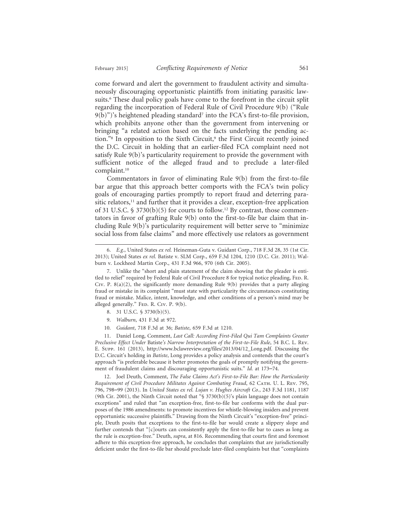come forward and alert the government to fraudulent activity and simultaneously discouraging opportunistic plaintiffs from initiating parasitic lawsuits.6 These dual policy goals have come to the forefront in the circuit split regarding the incorporation of Federal Rule of Civil Procedure 9(b) ("Rule 9(b)")'s heightened pleading standard7 into the FCA's first-to-file provision, which prohibits anyone other than the government from intervening or bringing "a related action based on the facts underlying the pending action."<sup>8</sup> In opposition to the Sixth Circuit,<sup>9</sup> the First Circuit recently joined the D.C. Circuit in holding that an earlier-filed FCA complaint need not satisfy Rule 9(b)'s particularity requirement to provide the government with sufficient notice of the alleged fraud and to preclude a later-filed complaint.10

Commentators in favor of eliminating Rule 9(b) from the first-to-file bar argue that this approach better comports with the FCA's twin policy goals of encouraging parties promptly to report fraud and deterring parasitic relators,<sup>11</sup> and further that it provides a clear, exception-free application of 31 U.S.C. § 3730(b)(5) for courts to follow.<sup>12</sup> By contrast, those commentators in favor of grafting Rule 9(b) onto the first-to-file bar claim that including Rule 9(b)'s particularity requirement will better serve to "minimize social loss from false claims" and more effectively use relators as government

- 8. 31 U.S.C. § 3730(b)(5).
- 9. *Walburn*, 431 F.3d at 972.
- 10. *Guidant*, 718 F.3d at 36; *Batiste*, 659 F.3d at 1210.

11. Daniel Long, Comment, *Last Call: According First-Filed Qui Tam Complaints Greater Preclusive Effect Under* Batiste*'s Narrow Interpretation of the First-to-File Rule*, 54 B.C. L. Rev. E. Supp. 161 (2013), http://www.bclawreview.org/files/2013/04/12\_Long.pdf. Discussing the D.C. Circuit's holding in *Batiste*, Long provides a policy analysis and contends that the court's approach "is preferable because it better promotes the goals of promptly notifying the government of fraudulent claims and discouraging opportunistic suits." *Id.* at 173–74.

12. Joel Deuth, Comment, *The False Claims Act's First-to-File Bar: How the Particularity Requirement of Civil Procedure Militates Against Combating Fraud*, 62 Cath. U. L. Rev. 795, 796, 798–99 (2013). In *United States ex rel. Lujan v. Hughes Aircraft Co.*, 243 F.3d 1181, 1187 (9th Cir. 2001), the Ninth Circuit noted that "§ 3730(b)(5)'s plain language does not contain exceptions" and ruled that "an exception-free, first-to-file bar conforms with the dual purposes of the 1986 amendments: to promote incentives for whistle-blowing insiders and prevent opportunistic successive plaintiffs." Drawing from the Ninth Circuit's "exception-free" principle, Deuth posits that exceptions to the first-to-file bar would create a slippery slope and further contends that "[c]ourts can consistently apply the first-to-file bar to cases as long as the rule is exception-free." Deuth, *supra*, at 816. Recommending that courts first and foremost adhere to this exception-free approach, he concludes that complaints that are jurisdictionally deficient under the first-to-file bar should preclude later-filed complaints but that "complaints

<sup>6.</sup> *E.g.*, United States *ex rel.* Heineman-Guta v. Guidant Corp., 718 F.3d 28, 35 (1st Cir. 2013); United States *ex rel.* Batiste v. SLM Corp., 659 F.3d 1204, 1210 (D.C. Cir. 2011); Walburn v. Lockheed Martin Corp., 431 F.3d 966, 970 (6th Cir. 2005).

<sup>7.</sup> Unlike the "short and plain statement of the claim showing that the pleader is entitled to relief" required by Federal Rule of Civil Procedure 8 for typical notice pleading, FED. R. Civ. P.  $8(a)(2)$ , the significantly more demanding Rule  $9(b)$  provides that a party alleging fraud or mistake in its complaint "must state with particularity the circumstances constituting fraud or mistake. Malice, intent, knowledge, and other conditions of a person's mind may be alleged generally." FED. R. CIV. P. 9(b).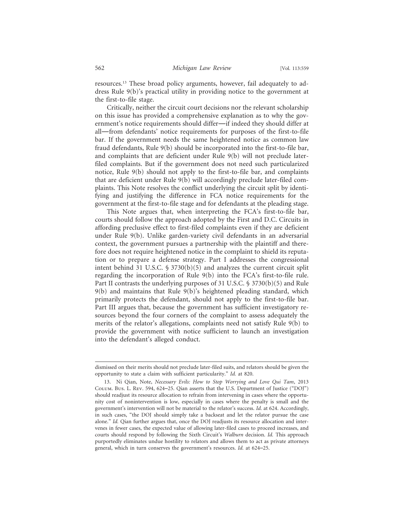resources.13 These broad policy arguments, however, fail adequately to address Rule 9(b)'s practical utility in providing notice to the government at the first-to-file stage.

Critically, neither the circuit court decisions nor the relevant scholarship on this issue has provided a comprehensive explanation as to why the government's notice requirements should differ—if indeed they should differ at all—from defendants' notice requirements for purposes of the first-to-file bar. If the government needs the same heightened notice as common law fraud defendants, Rule 9(b) should be incorporated into the first-to-file bar, and complaints that are deficient under Rule 9(b) will not preclude laterfiled complaints. But if the government does not need such particularized notice, Rule 9(b) should not apply to the first-to-file bar, and complaints that are deficient under Rule 9(b) will accordingly preclude later-filed complaints. This Note resolves the conflict underlying the circuit split by identifying and justifying the difference in FCA notice requirements for the government at the first-to-file stage and for defendants at the pleading stage.

This Note argues that, when interpreting the FCA's first-to-file bar, courts should follow the approach adopted by the First and D.C. Circuits in affording preclusive effect to first-filed complaints even if they are deficient under Rule 9(b). Unlike garden-variety civil defendants in an adversarial context, the government pursues a partnership with the plaintiff and therefore does not require heightened notice in the complaint to shield its reputation or to prepare a defense strategy. Part I addresses the congressional intent behind 31 U.S.C. § 3730(b)(5) and analyzes the current circuit split regarding the incorporation of Rule 9(b) into the FCA's first-to-file rule. Part II contrasts the underlying purposes of 31 U.S.C. § 3730(b)(5) and Rule 9(b) and maintains that Rule 9(b)'s heightened pleading standard, which primarily protects the defendant, should not apply to the first-to-file bar. Part III argues that, because the government has sufficient investigatory resources beyond the four corners of the complaint to assess adequately the merits of the relator's allegations, complaints need not satisfy Rule 9(b) to provide the government with notice sufficient to launch an investigation into the defendant's alleged conduct.

dismissed on their merits should not preclude later-filed suits, and relators should be given the opportunity to state a claim with sufficient particularity." *Id.* at 820.

<sup>13.</sup> Ni Qian, Note, *Necessary Evils: How to Stop Worrying and Love Qui Tam*, 2013 Colum. Bus. L. Rev. 594, 624–25. Qian asserts that the U.S. Department of Justice ("DOJ") should readjust its resource allocation to refrain from intervening in cases where the opportunity cost of nonintervention is low, especially in cases where the penalty is small and the government's intervention will not be material to the relator's success. *Id.* at 624. Accordingly, in such cases, "the DOJ should simply take a backseat and let the relator pursue the case alone." *Id.* Qian further argues that, once the DOJ readjusts its resource allocation and intervenes in fewer cases, the expected value of allowing later-filed cases to proceed increases, and courts should respond by following the Sixth Circuit's *Walburn* decision. *Id.* This approach purportedly eliminates undue hostility to relators and allows them to act as private attorneys general, which in turn conserves the government's resources. *Id.* at 624–25.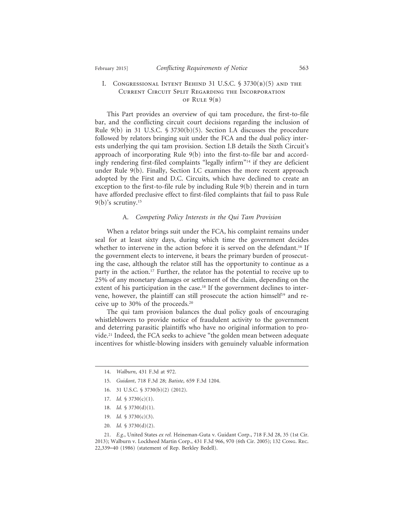#### I. Congressional Intent Behind 31 U.S.C. § 3730(b)(5) and the Current Circuit Split Regarding the Incorporation OF RULE  $9(B)$

This Part provides an overview of qui tam procedure, the first-to-file bar, and the conflicting circuit court decisions regarding the inclusion of Rule 9(b) in 31 U.S.C. § 3730(b)(5). Section I.A discusses the procedure followed by relators bringing suit under the FCA and the dual policy interests underlying the qui tam provision. Section I.B details the Sixth Circuit's approach of incorporating Rule 9(b) into the first-to-file bar and accordingly rendering first-filed complaints "legally infirm"14 if they are deficient under Rule 9(b). Finally, Section I.C examines the more recent approach adopted by the First and D.C. Circuits, which have declined to create an exception to the first-to-file rule by including Rule 9(b) therein and in turn have afforded preclusive effect to first-filed complaints that fail to pass Rule  $9(b)$ 's scrutiny.<sup>15</sup>

#### A. *Competing Policy Interests in the Qui Tam Provision*

When a relator brings suit under the FCA, his complaint remains under seal for at least sixty days, during which time the government decides whether to intervene in the action before it is served on the defendant.<sup>16</sup> If the government elects to intervene, it bears the primary burden of prosecuting the case, although the relator still has the opportunity to continue as a party in the action.<sup>17</sup> Further, the relator has the potential to receive up to 25% of any monetary damages or settlement of the claim, depending on the extent of his participation in the case.<sup>18</sup> If the government declines to intervene, however, the plaintiff can still prosecute the action himself<sup>19</sup> and receive up to 30% of the proceeds.20

The qui tam provision balances the dual policy goals of encouraging whistleblowers to provide notice of fraudulent activity to the government and deterring parasitic plaintiffs who have no original information to provide.21 Indeed, the FCA seeks to achieve "the golden mean between adequate incentives for whistle-blowing insiders with genuinely valuable information

- 15. *Guidant*, 718 F.3d 28; *Batiste*, 659 F.3d 1204.
- 16. 31 U.S.C. § 3730(b)(2) (2012).
- 17. *Id.* § 3730(c)(1).
- 18. *Id.* § 3730(d)(1).
- 19. *Id.* § 3730(c)(3).
- 20. *Id.* § 3730(d)(2).

21. *E.g.*, United States *ex rel.* Heineman-Guta v. Guidant Corp., 718 F.3d 28, 35 (1st Cir. 2013); Walburn v. Lockheed Martin Corp., 431 F.3d 966, 970 (6th Cir. 2005); 132 Cong. Rec. 22,339–40 (1986) (statement of Rep. Berkley Bedell).

<sup>14.</sup> *Walburn*, 431 F.3d at 972.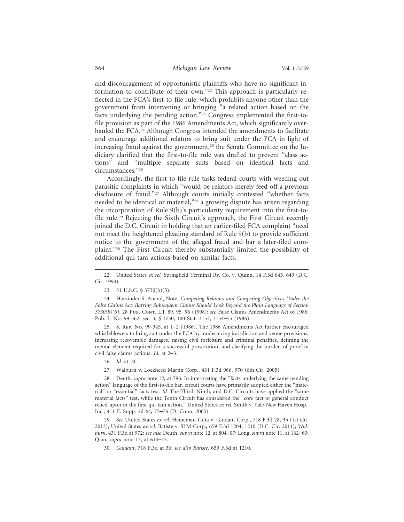and discouragement of opportunistic plaintiffs who have no significant information to contribute of their own."22 This approach is particularly reflected in the FCA's first-to-file rule, which prohibits anyone other than the government from intervening or bringing "a related action based on the facts underlying the pending action."23 Congress implemented the first-tofile provision as part of the 1986 Amendments Act, which significantly overhauled the FCA.<sup>24</sup> Although Congress intended the amendments to facilitate and encourage additional relators to bring suit under the FCA in light of increasing fraud against the government,<sup>25</sup> the Senate Committee on the Judiciary clarified that the first-to-file rule was drafted to prevent "class actions" and "multiple separate suits based on identical facts and circumstances."26

Accordingly, the first-to-file rule tasks federal courts with weeding out parasitic complaints in which "would-be relators merely feed off a previous disclosure of fraud."27 Although courts initially contested "whether facts needed to be identical or material,"28 a growing dispute has arisen regarding the incorporation of Rule 9(b)'s particularity requirement into the first-tofile rule.29 Rejecting the Sixth Circuit's approach, the First Circuit recently joined the D.C. Circuit in holding that an earlier-filed FCA complaint "need not meet the heightened pleading standard of Rule 9(b) to provide sufficient notice to the government of the alleged fraud and bar a later-filed complaint."30 The First Circuit thereby substantially limited the possibility of additional qui tam actions based on similar facts.

25. S. Rep. No. 99-345, at 1–2 (1986). The 1986 Amendments Act further encouraged whistleblowers to bring suit under the FCA by modernizing jurisdiction and venue provisions, increasing recoverable damages, raising civil forfeiture and criminal penalties, defining the mental element required for a successful prosecution, and clarifying the burden of proof in civil false claims actions. *Id.* at 2–3.

28. Deuth, *supra* note 12, at 796. In interpreting the "facts underlying the same pending action" language of the first-to-file bar, circuit courts have primarily adopted either the "material" or "essential" facts test. *Id.* The Third, Ninth, and D.C. Circuits have applied the "same material facts" test, while the Tenth Circuit has considered the "core fact or general conduct relied upon in the first qui tam action." United States *ex rel.* Smith v. Yale-New Haven Hosp., Inc., 411 F. Supp. 2d 64, 75–76 (D. Conn. 2005).

29. *See* United States *ex rel.* Heineman-Guta v. Guidant Corp., 718 F.3d 28, 35 (1st Cir. 2013); United States *ex rel.* Batiste v. SLM Corp., 659 F.3d 1204, 1210 (D.C. Cir. 2011); *Walburn*, 431 F.3d at 972; *see also* Deuth, *supra* note 12, at 804–07; Long, *supra* note 11, at 162–63; Qian, *supra* note 13, at 614–15.

30. *Guidant*, 718 F.3d at 36; *see also Batiste*, 659 F.3d at 1210.

<sup>22.</sup> United States *ex rel.* Springfield Terminal Ry. Co. v. Quinn, 14 F.3d 645, 649 (D.C. Cir. 1994).

<sup>23. 31</sup> U.S.C. § 3730(b)(5).

<sup>24.</sup> Harvinder S. Anand, Note, *Competing Relators and Competing Objectives Under the False Claims Act: Barring Subsequent Claims Should Look Beyond the Plain Language of Section 3730(b)(5)*, 28 Pub. Cont. L.J. 89, 95–96 (1998); *see* False Claims Amendments Act of 1986, Pub. L. No. 99-562, sec. 3, § 3730, 100 Stat. 3153, 3154–55 (1986).

<sup>26.</sup> *Id.* at 24.

<sup>27.</sup> Walburn v. Lockheed Martin Corp., 431 F.3d 966, 970 (6th Cir. 2005).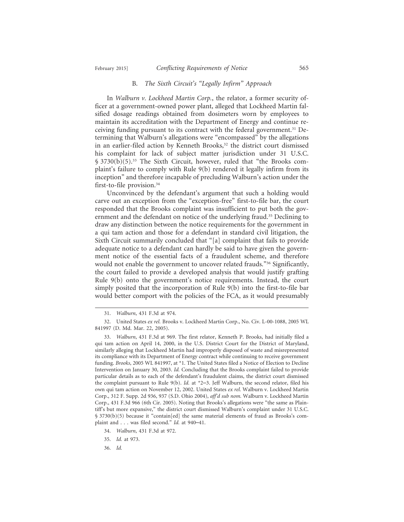#### B. *The Sixth Circuit's "Legally Infirm" Approach*

In *Walburn v. Lockheed Martin Corp.*, the relator, a former security officer at a government-owned power plant, alleged that Lockheed Martin falsified dosage readings obtained from dosimeters worn by employees to maintain its accreditation with the Department of Energy and continue receiving funding pursuant to its contract with the federal government.<sup>31</sup> Determining that Walburn's allegations were "encompassed" by the allegations in an earlier-filed action by Kenneth Brooks,<sup>32</sup> the district court dismissed his complaint for lack of subject matter jurisdiction under 31 U.S.C. § 3730(b)(5).33 The Sixth Circuit, however, ruled that "the Brooks complaint's failure to comply with Rule 9(b) rendered it legally infirm from its inception" and therefore incapable of precluding Walburn's action under the first-to-file provision.34

Unconvinced by the defendant's argument that such a holding would carve out an exception from the "exception-free" first-to-file bar, the court responded that the Brooks complaint was insufficient to put both the government and the defendant on notice of the underlying fraud.<sup>35</sup> Declining to draw any distinction between the notice requirements for the government in a qui tam action and those for a defendant in standard civil litigation, the Sixth Circuit summarily concluded that "[a] complaint that fails to provide adequate notice to a defendant can hardly be said to have given the government notice of the essential facts of a fraudulent scheme, and therefore would not enable the government to uncover related frauds."36 Significantly, the court failed to provide a developed analysis that would justify grafting Rule 9(b) onto the government's notice requirements. Instead, the court simply posited that the incorporation of Rule 9(b) into the first-to-file bar would better comport with the policies of the FCA, as it would presumably

<sup>31.</sup> *Walburn*, 431 F.3d at 974.

<sup>32.</sup> United States *ex rel.* Brooks v. Lockheed Martin Corp., No. Civ. L-00-1088, 2005 WL 841997 (D. Md. Mar. 22, 2005).

<sup>33.</sup> *Walburn*, 431 F.3d at 969. The first relator, Kenneth P. Brooks, had initially filed a qui tam action on April 14, 2000, in the U.S. District Court for the District of Maryland, similarly alleging that Lockheed Martin had improperly disposed of waste and misrepresented its compliance with its Department of Energy contract while continuing to receive government funding. *Brooks*, 2005 WL 841997, at \*1. The United States filed a Notice of Election to Decline Intervention on January 30, 2003. *Id.* Concluding that the Brooks complaint failed to provide particular details as to each of the defendant's fraudulent claims, the district court dismissed the complaint pursuant to Rule 9(b). *Id.* at \*2–3. Jeff Walburn, the second relator, filed his own qui tam action on November 12, 2002. United States *ex rel.* Walburn v. Lockheed Martin Corp., 312 F. Supp. 2d 936, 937 (S.D. Ohio 2004), *aff'd sub nom.* Walburn v. Lockheed Martin Corp., 431 F.3d 966 (6th Cir. 2005). Noting that Brooks's allegations were "the same as Plaintiff's but more expansive," the district court dismissed Walburn's complaint under 31 U.S.C. § 3730(b)(5) because it "contain[ed] the same material elements of fraud as Brooks's complaint and . . . was filed second." *Id.* at 940–41.

<sup>34.</sup> *Walburn*, 431 F.3d at 972.

<sup>35.</sup> *Id.* at 973.

<sup>36.</sup> *Id.*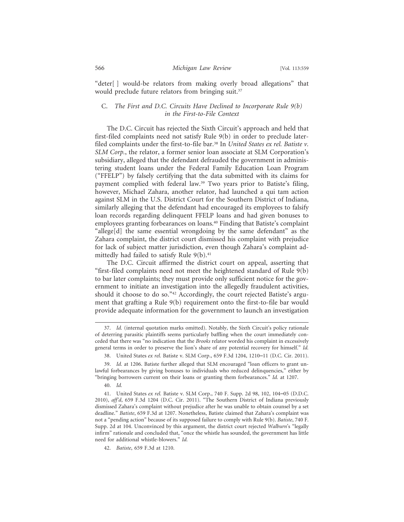"deter[ ] would-be relators from making overly broad allegations" that would preclude future relators from bringing suit.<sup>37</sup>

#### C. *The First and D.C. Circuits Have Declined to Incorporate Rule 9(b) in the First-to-File Context*

The D.C. Circuit has rejected the Sixth Circuit's approach and held that first-filed complaints need not satisfy Rule 9(b) in order to preclude laterfiled complaints under the first-to-file bar.38 In *United States ex rel. Batiste v. SLM Corp.*, the relator, a former senior loan associate at SLM Corporation's subsidiary, alleged that the defendant defrauded the government in administering student loans under the Federal Family Education Loan Program ("FFELP") by falsely certifying that the data submitted with its claims for payment complied with federal law.39 Two years prior to Batiste's filing, however, Michael Zahara, another relator, had launched a qui tam action against SLM in the U.S. District Court for the Southern District of Indiana, similarly alleging that the defendant had encouraged its employees to falsify loan records regarding delinquent FFELP loans and had given bonuses to employees granting forbearances on loans.40 Finding that Batiste's complaint "allege[d] the same essential wrongdoing by the same defendant" as the Zahara complaint, the district court dismissed his complaint with prejudice for lack of subject matter jurisdiction, even though Zahara's complaint admittedly had failed to satisfy Rule  $9(b).41$ 

The D.C. Circuit affirmed the district court on appeal, asserting that "first-filed complaints need not meet the heightened standard of Rule 9(b) to bar later complaints; they must provide only sufficient notice for the government to initiate an investigation into the allegedly fraudulent activities, should it choose to do so."<sup>42</sup> Accordingly, the court rejected Batiste's argument that grafting a Rule 9(b) requirement onto the first-to-file bar would provide adequate information for the government to launch an investigation

<sup>37.</sup> *Id.* (internal quotation marks omitted). Notably, the Sixth Circuit's policy rationale of deterring parasitic plaintiffs seems particularly baffling when the court immediately conceded that there was "no indication that the *Brooks* relator worded his complaint in excessively general terms in order to preserve the lion's share of any potential recovery for himself." *Id.*

<sup>38.</sup> United States *ex rel.* Batiste v. SLM Corp., 659 F.3d 1204, 1210–11 (D.C. Cir. 2011).

<sup>39.</sup> *Id.* at 1206. Batiste further alleged that SLM encouraged "loan officers to grant unlawful forbearances by giving bonuses to individuals who reduced delinquencies," either by "bringing borrowers current on their loans or granting them forbearances." *Id.* at 1207.

<sup>40.</sup> *Id.*

<sup>41.</sup> United States *ex rel.* Batiste v. SLM Corp., 740 F. Supp. 2d 98, 102, 104–05 (D.D.C. 2010), *aff'd*, 659 F.3d 1204 (D.C. Cir. 2011). "The Southern District of Indiana previously dismissed Zahara's complaint without prejudice after he was unable to obtain counsel by a set deadline." *Batiste*, 659 F.3d at 1207. Nonetheless, Batiste claimed that Zahara's complaint was not a "pending action" because of its supposed failure to comply with Rule 9(b). *Batiste*, 740 F. Supp. 2d at 104. Unconvinced by this argument, the district court rejected *Walburn*'s "legally infirm" rationale and concluded that, "once the whistle has sounded, the government has little need for additional whistle-blowers." *Id.*

<sup>42.</sup> *Batiste*, 659 F.3d at 1210.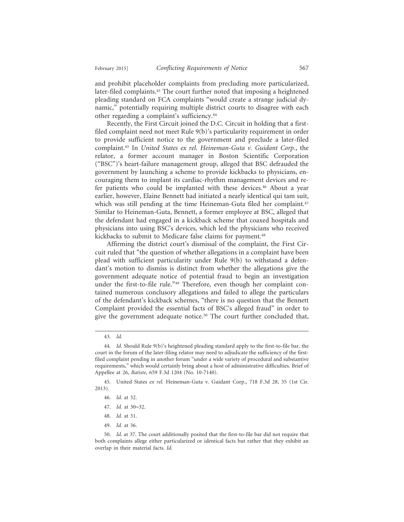and prohibit placeholder complaints from precluding more particularized, later-filed complaints.43 The court further noted that imposing a heightened pleading standard on FCA complaints "would create a strange judicial dynamic," potentially requiring multiple district courts to disagree with each other regarding a complaint's sufficiency.44

Recently, the First Circuit joined the D.C. Circuit in holding that a firstfiled complaint need not meet Rule 9(b)'s particularity requirement in order to provide sufficient notice to the government and preclude a later-filed complaint.45 In *United States ex rel. Heineman-Guta v. Guidant Corp.*, the relator, a former account manager in Boston Scientific Corporation ("BSC")'s heart-failure management group, alleged that BSC defrauded the government by launching a scheme to provide kickbacks to physicians, encouraging them to implant its cardiac-rhythm management devices and refer patients who could be implanted with these devices.<sup>46</sup> About a year earlier, however, Elaine Bennett had initiated a nearly identical qui tam suit, which was still pending at the time Heineman-Guta filed her complaint.<sup>47</sup> Similar to Heineman-Guta, Bennett, a former employee at BSC, alleged that the defendant had engaged in a kickback scheme that coaxed hospitals and physicians into using BSC's devices, which led the physicians who received kickbacks to submit to Medicare false claims for payment.<sup>48</sup>

Affirming the district court's dismissal of the complaint, the First Circuit ruled that "the question of whether allegations in a complaint have been plead with sufficient particularity under Rule 9(b) to withstand a defendant's motion to dismiss is distinct from whether the allegations give the government adequate notice of potential fraud to begin an investigation under the first-to-file rule."49 Therefore, even though her complaint contained numerous conclusory allegations and failed to allege the particulars of the defendant's kickback schemes, "there is no question that the Bennett Complaint provided the essential facts of BSC's alleged fraud" in order to give the government adequate notice.50 The court further concluded that,

- 47. *Id.* at 30–32.
- 48. *Id.* at 31.
- 49. *Id.* at 36.

<sup>43.</sup> *Id.*

<sup>44.</sup> *Id.* Should Rule 9(b)'s heightened pleading standard apply to the first-to-file bar, the court in the forum of the later-filing relator may need to adjudicate the sufficiency of the firstfiled complaint pending in another forum "under a wide variety of procedural and substantive requirements," which would certainly bring about a host of administrative difficulties. Brief of Appellee at 26, *Batiste*, 659 F.3d 1204 (No. 10-7140).

<sup>45.</sup> United States *ex rel.* Heineman-Guta v. Guidant Corp., 718 F.3d 28, 35 (1st Cir. 2013).

<sup>46.</sup> *Id.* at 32.

<sup>50.</sup> *Id.* at 37. The court additionally posited that the first-to-file bar did not require that both complaints allege either particularized or identical facts but rather that they exhibit an overlap in their material facts. *Id.*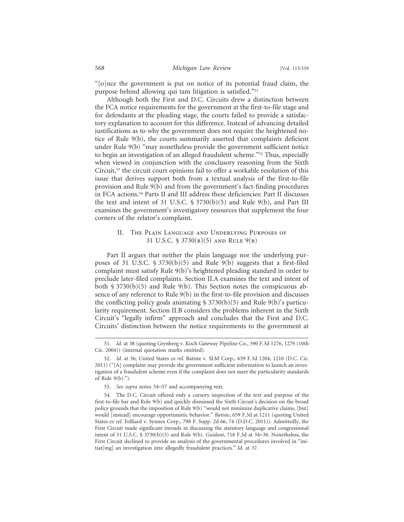"[o]nce the government is put on notice of its potential fraud claim, the purpose behind allowing qui tam litigation is satisfied."51

Although both the First and D.C. Circuits drew a distinction between the FCA notice requirements for the government at the first-to-file stage and for defendants at the pleading stage, the courts failed to provide a satisfactory explanation to account for this difference. Instead of advancing detailed justifications as to why the government does not require the heightened notice of Rule 9(b), the courts summarily asserted that complaints deficient under Rule 9(b) "may nonetheless provide the government sufficient notice to begin an investigation of an alleged fraudulent scheme."52 Thus, especially when viewed in conjunction with the conclusory reasoning from the Sixth Circuit,53 the circuit court opinions fail to offer a workable resolution of this issue that derives support both from a textual analysis of the first-to-file provision and Rule 9(b) and from the government's fact-finding procedures in FCA actions.54 Parts II and III address these deficiencies: Part II discusses the text and intent of 31 U.S.C. § 3730(b)(5) and Rule 9(b), and Part III examines the government's investigatory resources that supplement the four corners of the relator's complaint.

#### II. The Plain Language and Underlying Purposes of 31 U.S.C. § 3730(b)(5) and Rule 9(b)

Part II argues that neither the plain language nor the underlying purposes of 31 U.S.C. § 3730(b)(5) and Rule 9(b) suggests that a first-filed complaint must satisfy Rule 9(b)'s heightened pleading standard in order to preclude later-filed complaints. Section II.A examines the text and intent of both  $\S 3730(b)(5)$  and Rule 9(b). This Section notes the conspicuous absence of any reference to Rule 9(b) in the first-to-file provision and discusses the conflicting policy goals animating  $\S$  3730(b)(5) and Rule 9(b)'s particularity requirement. Section II.B considers the problems inherent in the Sixth Circuit's "legally infirm" approach and concludes that the First and D.C. Circuits' distinction between the notice requirements to the government at

<sup>51.</sup> *Id.* at 38 (quoting Grynberg v. Koch Gateway Pipeline Co., 390 F.3d 1276, 1279 (10th Cir. 2004)) (internal quotation marks omitted).

<sup>52.</sup> *Id.* at 36; United States *ex rel.* Batiste v. SLM Corp., 659 F.3d 1204, 1210 (D.C. Cir. 2011) ("[A] complaint may provide the government sufficient information to launch an investigation of a fraudulent scheme even if the complaint does not meet the particularity standards of Rule 9(b).").

<sup>53.</sup> *See supra* notes 34–37 and accompanying text.

<sup>54.</sup> The D.C. Circuit offered only a cursory inspection of the text and purpose of the first-to-file bar and Rule 9(b) and quickly dismissed the Sixth Circuit's decision on the broad policy grounds that the imposition of Rule 9(b) "would not minimize duplicative claims, [but] would [instead] encourage opportunistic behavior." *Batiste*, 659 F.3d at 1211 (quoting United States *ex rel.* Folliard v. Synnex Corp., 798 F. Supp. 2d 66, 74 (D.D.C. 2011)). Admittedly, the First Circuit made significant inroads in discussing the statutory language and congressional intent of 31 U.S.C. § 3730(b)(5) and Rule 9(b). *Guidant*, 718 F.3d at 34–36. Nonetheless, the First Circuit declined to provide an analysis of the governmental procedures involved in "initiat[ing] an investigation into allegedly fraudulent practices." *Id.* at 37.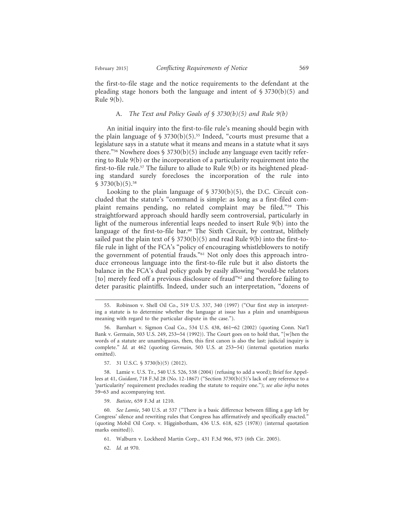the first-to-file stage and the notice requirements to the defendant at the pleading stage honors both the language and intent of  $\S 3730(b)(5)$  and Rule 9(b).

#### A. *The Text and Policy Goals of § 3730(b)(5) and Rule 9(b)*

An initial inquiry into the first-to-file rule's meaning should begin with the plain language of  $\S 3730(b)(5)$ .<sup>55</sup> Indeed, "courts must presume that a legislature says in a statute what it means and means in a statute what it says there."<sup>56</sup> Nowhere does § 3730(b)(5) include any language even tacitly referring to Rule 9(b) or the incorporation of a particularity requirement into the first-to-file rule.<sup>57</sup> The failure to allude to Rule  $9(b)$  or its heightened pleading standard surely forecloses the incorporation of the rule into  $$3730(b)(5).$ <sup>58</sup>

Looking to the plain language of  $\S 3730(b)(5)$ , the D.C. Circuit concluded that the statute's "command is simple: as long as a first-filed complaint remains pending, no related complaint may be filed."59 This straightforward approach should hardly seem controversial, particularly in light of the numerous inferential leaps needed to insert Rule 9(b) into the language of the first-to-file bar.<sup>60</sup> The Sixth Circuit, by contrast, blithely sailed past the plain text of  $\S$  3730(b)(5) and read Rule 9(b) into the first-tofile rule in light of the FCA's "policy of encouraging whistleblowers to notify the government of potential frauds."61 Not only does this approach introduce erroneous language into the first-to-file rule but it also distorts the balance in the FCA's dual policy goals by easily allowing "would-be relators [to] merely feed off a previous disclosure of fraud"<sup>62</sup> and therefore failing to deter parasitic plaintiffs. Indeed, under such an interpretation, "dozens of

57. 31 U.S.C. § 3730(b)(5) (2012).

58. Lamie v. U.S. Tr., 540 U.S. 526, 538 (2004) (refusing to add a word); Brief for Appellees at 41, *Guidant*, 718 F.3d 28 (No. 12-1867) ("Section 3730(b)(5)'s lack of any reference to a 'particularity' requirement precludes reading the statute to require one."); *see also infra* notes 59–63 and accompanying text.

59. *Batiste*, 659 F.3d at 1210.

62. *Id.* at 970.

<sup>55.</sup> Robinson v. Shell Oil Co., 519 U.S. 337, 340 (1997) ("Our first step in interpreting a statute is to determine whether the language at issue has a plain and unambiguous meaning with regard to the particular dispute in the case.").

<sup>56.</sup> Barnhart v. Sigmon Coal Co., 534 U.S. 438, 461–62 (2002) (quoting Conn. Nat'l Bank v. Germain, 503 U.S. 249, 253–54 (1992)). The Court goes on to hold that, "[w]hen the words of a statute are unambiguous, then, this first canon is also the last: judicial inquiry is complete." *Id.* at 462 (quoting *Germain*, 503 U.S. at 253–54) (internal quotation marks omitted).

<sup>60.</sup> *See Lamie*, 540 U.S. at 537 ("There is a basic difference between filling a gap left by Congress' silence and rewriting rules that Congress has affirmatively and specifically enacted." (quoting Mobil Oil Corp. v. Higginbotham, 436 U.S. 618, 625 (1978)) (internal quotation marks omitted)).

<sup>61.</sup> Walburn v. Lockheed Martin Corp., 431 F.3d 966, 973 (6th Cir. 2005).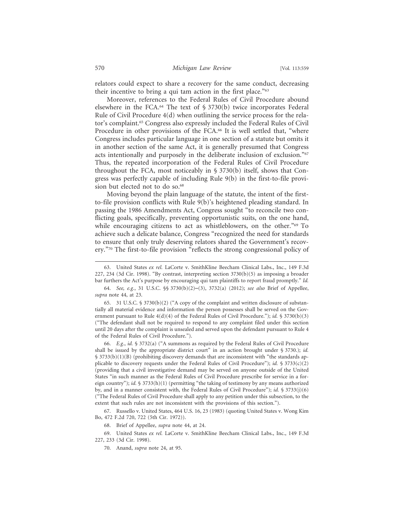relators could expect to share a recovery for the same conduct, decreasing their incentive to bring a qui tam action in the first place."63

Moreover, references to the Federal Rules of Civil Procedure abound elsewhere in the FCA.<sup>64</sup> The text of  $\S 3730(b)$  twice incorporates Federal Rule of Civil Procedure 4(d) when outlining the service process for the relator's complaint.65 Congress also expressly included the Federal Rules of Civil Procedure in other provisions of the FCA.<sup>66</sup> It is well settled that, "where Congress includes particular language in one section of a statute but omits it in another section of the same Act, it is generally presumed that Congress acts intentionally and purposely in the deliberate inclusion of exclusion."<sup>67</sup> Thus, the repeated incorporation of the Federal Rules of Civil Procedure throughout the FCA, most noticeably in § 3730(b) itself, shows that Congress was perfectly capable of including Rule 9(b) in the first-to-file provision but elected not to do so.<sup>68</sup>

Moving beyond the plain language of the statute, the intent of the firstto-file provision conflicts with Rule 9(b)'s heightened pleading standard. In passing the 1986 Amendments Act, Congress sought "to reconcile two conflicting goals, specifically, preventing opportunistic suits, on the one hand, while encouraging citizens to act as whistleblowers, on the other."<sup>69</sup> To achieve such a delicate balance, Congress "recognized the need for standards to ensure that only truly deserving relators shared the Government's recovery."70 The first-to-file provision "reflects the strong congressional policy of

66. *E.g.*, *id.* § 3732(a) ("A summons as required by the Federal Rules of Civil Procedure shall be issued by the appropriate district court" in an action brought under § 3730.); *id.*  $$3733(b)(1)(B)$  (prohibiting discovery demands that are inconsistent with "the standards applicable to discovery requests under the Federal Rules of Civil Procedure"); *id.*  $\frac{53733(c)(2)}{2}$ (providing that a civil investigative demand may be served on anyone outside of the United States "in such manner as the Federal Rules of Civil Procedure prescribe for service in a foreign country"); *id.* § 3733(h)(1) (permitting "the taking of testimony by any means authorized by, and in a manner consistent with, the Federal Rules of Civil Procedure"); *id.* § 3733(j)(6) ("The Federal Rules of Civil Procedure shall apply to any petition under this subsection, to the extent that such rules are not inconsistent with the provisions of this section.").

67. Russello v. United States, 464 U.S. 16, 23 (1983) (quoting United States v. Wong Kim Bo, 472 F.2d 720, 722 (5th Cir. 1972)).

68. Brief of Appellee, *supra* note 44, at 24.

69. United States *ex rel.* LaCorte v. SmithKline Beecham Clinical Labs., Inc., 149 F.3d 227, 233 (3d Cir. 1998).

70. Anand, *supra* note 24, at 95.

<sup>63.</sup> United States *ex rel.* LaCorte v. SmithKline Beecham Clinical Labs., Inc., 149 F.3d 227, 234 (3d Cir. 1998). "By contrast, interpreting section 3730(b)(5) as imposing a broader bar furthers the Act's purpose by encouraging qui tam plaintiffs to report fraud promptly." *Id.*

<sup>64.</sup> *See, e.g.*, 31 U.S.C. §§ 3730(b)(2)–(3), 3732(a) (2012); *see also* Brief of Appellee, *supra* note 44, at 23.

<sup>65. 31</sup> U.S.C. § 3730(b)(2) ("A copy of the complaint and written disclosure of substantially all material evidence and information the person possesses shall be served on the Government pursuant to Rule 4(d)(4) of the Federal Rules of Civil Procedure."); *id.* § 3730(b)(3) ("The defendant shall not be required to respond to any complaint filed under this section until 20 days after the complaint is unsealed and served upon the defendant pursuant to Rule 4 of the Federal Rules of Civil Procedure.").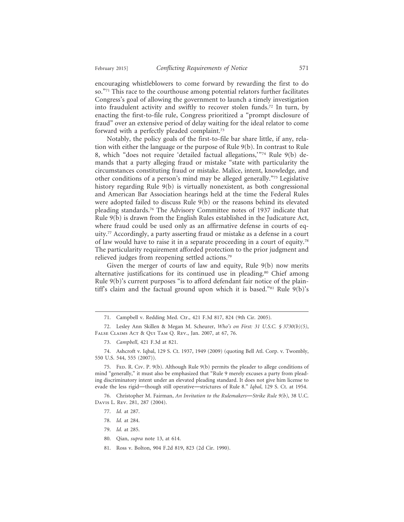encouraging whistleblowers to come forward by rewarding the first to do so."71 This race to the courthouse among potential relators further facilitates Congress's goal of allowing the government to launch a timely investigation into fraudulent activity and swiftly to recover stolen funds.72 In turn, by enacting the first-to-file rule, Congress prioritized a "prompt disclosure of fraud" over an extensive period of delay waiting for the ideal relator to come forward with a perfectly pleaded complaint.73

Notably, the policy goals of the first-to-file bar share little, if any, relation with either the language or the purpose of Rule 9(b). In contrast to Rule 8, which "does not require 'detailed factual allegations,'"74 Rule 9(b) demands that a party alleging fraud or mistake "state with particularity the circumstances constituting fraud or mistake. Malice, intent, knowledge, and other conditions of a person's mind may be alleged generally."75 Legislative history regarding Rule 9(b) is virtually nonexistent, as both congressional and American Bar Association hearings held at the time the Federal Rules were adopted failed to discuss Rule 9(b) or the reasons behind its elevated pleading standards.76 The Advisory Committee notes of 1937 indicate that Rule 9(b) is drawn from the English Rules established in the Judicature Act, where fraud could be used only as an affirmative defense in courts of equity.77 Accordingly, a party asserting fraud or mistake as a defense in a court of law would have to raise it in a separate proceeding in a court of equity.78 The particularity requirement afforded protection to the prior judgment and relieved judges from reopening settled actions.79

Given the merger of courts of law and equity, Rule 9(b) now merits alternative justifications for its continued use in pleading.<sup>80</sup> Chief among Rule 9(b)'s current purposes "is to afford defendant fair notice of the plaintiff's claim and the factual ground upon which it is based."<sup>81</sup> Rule 9(b)'s

- 77. *Id.* at 287.
- 78. *Id.* at 284.
- 79. *Id.* at 285.
- 80. Qian, *supra* note 13, at 614.
- 81. Ross v. Bolton, 904 F.2d 819, 823 (2d Cir. 1990).

<sup>71.</sup> Campbell v. Redding Med. Ctr., 421 F.3d 817, 824 (9th Cir. 2005).

<sup>72.</sup> Lesley Ann Skillen & Megan M. Scheurer, *Who's on First: 31 U.S.C. § 3730(b)(5)*, False Claims Act & Qui Tam Q. Rev., Jan. 2007, at 67, 76.

<sup>73.</sup> *Campbell*, 421 F.3d at 821.

<sup>74.</sup> Ashcroft v. Iqbal, 129 S. Ct. 1937, 1949 (2009) (quoting Bell Atl. Corp. v. Twombly, 550 U.S. 544, 555 (2007)).

<sup>75.</sup> FED. R. CIv. P. 9(b). Although Rule 9(b) permits the pleader to allege conditions of mind "generally," it must also be emphasized that "Rule 9 merely excuses a party from pleading discriminatory intent under an elevated pleading standard. It does not give him license to evade the less rigid—though still operative—strictures of Rule 8." *Iqbal*, 129 S. Ct. at 1954.

<sup>76.</sup> Christopher M. Fairman, *An Invitation to the Rulemakers*—*Strike Rule 9(b)*, 38 U.C. Davis L. Rev. 281, 287 (2004).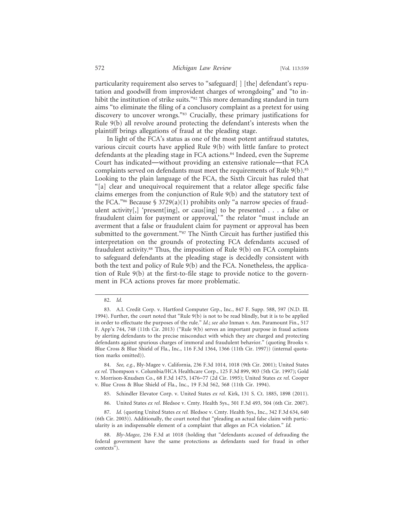particularity requirement also serves to "safeguard[ ] [the] defendant's reputation and goodwill from improvident charges of wrongdoing" and "to inhibit the institution of strike suits."<sup>82</sup> This more demanding standard in turn aims "to eliminate the filing of a conclusory complaint as a pretext for using discovery to uncover wrongs."83 Crucially, these primary justifications for Rule 9(b) all revolve around protecting the defendant's interests when the plaintiff brings allegations of fraud at the pleading stage.

In light of the FCA's status as one of the most potent antifraud statutes, various circuit courts have applied Rule 9(b) with little fanfare to protect defendants at the pleading stage in FCA actions.<sup>84</sup> Indeed, even the Supreme Court has indicated—without providing an extensive rationale—that FCA complaints served on defendants must meet the requirements of Rule 9(b).85 Looking to the plain language of the FCA, the Sixth Circuit has ruled that "[a] clear and unequivocal requirement that a relator allege specific false claims emerges from the conjunction of Rule 9(b) and the statutory text of the FCA."<sup>86</sup> Because § 3729(a)(1) prohibits only "a narrow species of fraudulent activity[,] 'present[ing], or caus[ing] to be presented . . . a false or fraudulent claim for payment or approval,'" the relator "must include an averment that a false or fraudulent claim for payment or approval has been submitted to the government."<sup>87</sup> The Ninth Circuit has further justified this interpretation on the grounds of protecting FCA defendants accused of fraudulent activity.<sup>88</sup> Thus, the imposition of Rule 9(b) on FCA complaints to safeguard defendants at the pleading stage is decidedly consistent with both the text and policy of Rule 9(b) and the FCA. Nonetheless, the application of Rule 9(b) at the first-to-file stage to provide notice to the government in FCA actions proves far more problematic.

<sup>82.</sup> *Id.*

<sup>83.</sup> A.I. Credit Corp. v. Hartford Computer Grp., Inc., 847 F. Supp. 588, 597 (N.D. Ill. 1994). Further, the court noted that "Rule 9(b) is not to be read blindly, but it is to be applied in order to effectuate the purposes of the rule." *Id.*; *see also* Inman v. Am. Paramount Fin., 517 F. App'x 744, 748 (11th Cir. 2013) ("Rule 9(b) serves an important purpose in fraud actions by alerting defendants to the precise misconduct with which they are charged and protecting defendants against spurious charges of immoral and fraudulent behavior." (quoting Brooks v. Blue Cross & Blue Shield of Fla., Inc., 116 F.3d 1364, 1366 (11th Cir. 1997)) (internal quotation marks omitted)).

<sup>84.</sup> *See, e.g.*, Bly-Magee v. California, 236 F.3d 1014, 1018 (9th Cir. 2001); United States *ex rel.* Thompson v. Columbia/HCA Healthcare Corp., 125 F.3d 899, 903 (5th Cir. 1997); Gold v. Morrison-Knudsen Co., 68 F.3d 1475, 1476–77 (2d Cir. 1995); United States *ex rel.* Cooper v. Blue Cross & Blue Shield of Fla., Inc., 19 F.3d 562, 568 (11th Cir. 1994).

<sup>85.</sup> Schindler Elevator Corp. v. United States *ex rel.* Kirk, 131 S. Ct. 1885, 1898 (2011).

<sup>86.</sup> United States *ex rel.* Bledsoe v. Cmty. Health Sys., 501 F.3d 493, 504 (6th Cir. 2007).

<sup>87.</sup> *Id.* (quoting United States *ex rel.* Bledsoe v. Cmty. Health Sys., Inc., 342 F.3d 634, 640 (6th Cir. 2003)). Additionally, the court noted that "pleading an actual false claim with particularity is an indispensable element of a complaint that alleges an FCA violation." *Id.*

<sup>88.</sup> *Bly-Magee*, 236 F.3d at 1018 (holding that "defendants accused of defrauding the federal government have the same protections as defendants sued for fraud in other contexts").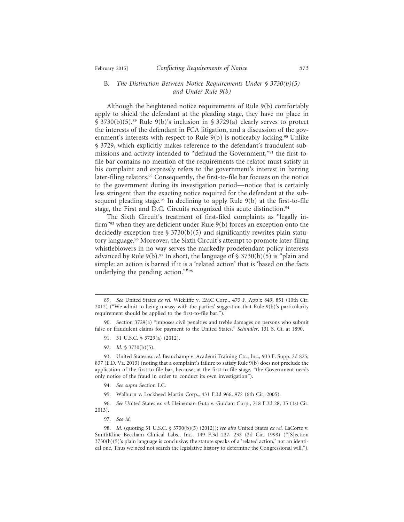#### B. *The Distinction Between Notice Requirements Under § 3730(b)(5) and Under Rule 9(b)*

Although the heightened notice requirements of Rule 9(b) comfortably apply to shield the defendant at the pleading stage, they have no place in § 3730(b)(5).89 Rule 9(b)'s inclusion in § 3729(a) clearly serves to protect the interests of the defendant in FCA litigation, and a discussion of the government's interests with respect to Rule 9(b) is noticeably lacking.<sup>90</sup> Unlike § 3729, which explicitly makes reference to the defendant's fraudulent submissions and activity intended to "defraud the Government,"91 the first-tofile bar contains no mention of the requirements the relator must satisfy in his complaint and expressly refers to the government's interest in barring later-filing relators.<sup>92</sup> Consequently, the first-to-file bar focuses on the notice to the government during its investigation period—notice that is certainly less stringent than the exacting notice required for the defendant at the subsequent pleading stage.<sup>93</sup> In declining to apply Rule  $9(b)$  at the first-to-file stage, the First and D.C. Circuits recognized this acute distinction.<sup>94</sup>

The Sixth Circuit's treatment of first-filed complaints as "legally infirm"95 when they are deficient under Rule 9(b) forces an exception onto the decidedly exception-free  $\S 3730(b)(5)$  and significantly rewrites plain statutory language.96 Moreover, the Sixth Circuit's attempt to promote later-filing whistleblowers in no way serves the markedly prodefendant policy interests advanced by Rule  $9(b)$ .<sup>97</sup> In short, the language of § 3730(b)(5) is "plain and simple: an action is barred if it is a 'related action' that is 'based on the facts underlying the pending action.'"98

92. *Id.* § 3730(b)(5).

- 94. *See supra* Section I.C.
- 95. Walburn v. Lockheed Martin Corp., 431 F.3d 966, 972 (6th Cir. 2005).

96. *See* United States *ex rel.* Heineman-Guta v. Guidant Corp., 718 F.3d 28, 35 (1st Cir. 2013).

97. *See id.*

<sup>89.</sup> *See* United States *ex rel.* Wickliffe v. EMC Corp., 473 F. App'x 849, 851 (10th Cir. 2012) ("We admit to being uneasy with the parties' suggestion that Rule 9(b)'s particularity requirement should be applied to the first-to-file bar.").

<sup>90.</sup> Section 3729(a) "imposes civil penalties and treble damages on persons who submit false or fraudulent claims for payment to the United States." *Schindler*, 131 S. Ct. at 1890.

<sup>91. 31</sup> U.S.C. § 3729(a) (2012).

<sup>93.</sup> United States *ex rel.* Beauchamp v. Academi Training Ctr., Inc., 933 F. Supp. 2d 825, 837 (E.D. Va. 2013) (noting that a complaint's failure to satisfy Rule 9(b) does not preclude the application of the first-to-file bar, because, at the first-to-file stage, "the Government needs only notice of the fraud in order to conduct its own investigation").

<sup>98.</sup> *Id.* (quoting 31 U.S.C. § 3730(b)(5) (2012)); *see also* United States *ex rel.* LaCorte v. SmithKline Beecham Clinical Labs., Inc., 149 F.3d 227, 233 (3d Cir. 1998) ("[S]ection  $3730(b)(5)$ 's plain language is conclusive; the statute speaks of a 'related action,' not an identical one. Thus we need not search the legislative history to determine the Congressional will.").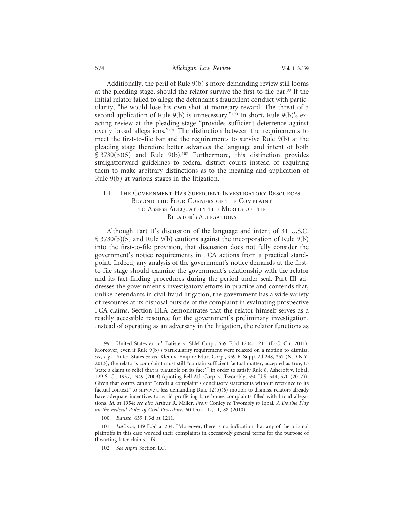Additionally, the peril of Rule 9(b)'s more demanding review still looms at the pleading stage, should the relator survive the first-to-file bar.99 If the initial relator failed to allege the defendant's fraudulent conduct with particularity, "he would lose his own shot at monetary reward. The threat of a second application of Rule 9(b) is unnecessary."<sup>100</sup> In short, Rule 9(b)'s exacting review at the pleading stage "provides sufficient deterrence against overly broad allegations."101 The distinction between the requirements to meet the first-to-file bar and the requirements to survive Rule 9(b) at the pleading stage therefore better advances the language and intent of both  $$3730(b)(5)$  and Rule  $9(b).^{102}$  Furthermore, this distinction provides straightforward guidelines to federal district courts instead of requiring them to make arbitrary distinctions as to the meaning and application of Rule 9(b) at various stages in the litigation.

#### III. The Government Has Sufficient Investigatory Resources Beyond the Four Corners of the Complaint to Assess Adequately the Merits of the Relator's Allegations

Although Part II's discussion of the language and intent of 31 U.S.C. § 3730(b)(5) and Rule 9(b) cautions against the incorporation of Rule 9(b) into the first-to-file provision, that discussion does not fully consider the government's notice requirements in FCA actions from a practical standpoint. Indeed, any analysis of the government's notice demands at the firstto-file stage should examine the government's relationship with the relator and its fact-finding procedures during the period under seal. Part III addresses the government's investigatory efforts in practice and contends that, unlike defendants in civil fraud litigation, the government has a wide variety of resources at its disposal outside of the complaint in evaluating prospective FCA claims. Section III.A demonstrates that the relator himself serves as a readily accessible resource for the government's preliminary investigation. Instead of operating as an adversary in the litigation, the relator functions as

<sup>99.</sup> United States *ex rel.* Batiste v. SLM Corp., 659 F.3d 1204, 1211 (D.C. Cir. 2011). Moreover, even if Rule 9(b)'s particularity requirement were relaxed on a motion to dismiss, *see, e.g.*, United States *ex rel.* Klein v. Empire Educ. Corp., 959 F. Supp. 2d 248, 257 (N.D.N.Y. 2013), the relator's complaint must still "contain sufficient factual matter, accepted as true, to 'state a claim to relief that is plausible on its face' " in order to satisfy Rule 8. Ashcroft v. Iqbal, 129 S. Ct. 1937, 1949 (2009) (quoting Bell Atl. Corp. v. Twombly, 550 U.S. 544, 570 (2007)). Given that courts cannot "credit a complaint's conclusory statements without reference to its factual context" to survive a less demanding Rule  $12(b)(6)$  motion to dismiss, relators already have adequate incentives to avoid proffering bare bones complaints filled with broad allegations. *Id.* at 1954; *see also* Arthur R. Miller, *From* Conley *to* Twombly *to* Iqbal*: A Double Play on the Federal Rules of Civil Procedure*, 60 Duke L.J. 1, 88 (2010).

<sup>100.</sup> *Batiste*, 659 F.3d at 1211.

<sup>101.</sup> *LaCorte*, 149 F.3d at 234. "Moreover, there is no indication that any of the original plaintiffs in this case worded their complaints in excessively general terms for the purpose of thwarting later claims." *Id.*

<sup>102.</sup> *See supra* Section I.C.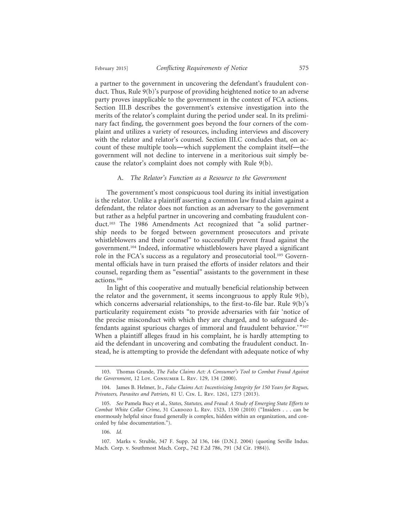a partner to the government in uncovering the defendant's fraudulent conduct. Thus, Rule 9(b)'s purpose of providing heightened notice to an adverse party proves inapplicable to the government in the context of FCA actions. Section III.B describes the government's extensive investigation into the merits of the relator's complaint during the period under seal. In its preliminary fact finding, the government goes beyond the four corners of the complaint and utilizes a variety of resources, including interviews and discovery with the relator and relator's counsel. Section III.C concludes that, on account of these multiple tools—which supplement the complaint itself—the government will not decline to intervene in a meritorious suit simply because the relator's complaint does not comply with Rule 9(b).

#### A. *The Relator's Function as a Resource to the Government*

The government's most conspicuous tool during its initial investigation is the relator. Unlike a plaintiff asserting a common law fraud claim against a defendant, the relator does not function as an adversary to the government but rather as a helpful partner in uncovering and combating fraudulent conduct.103 The 1986 Amendments Act recognized that "a solid partnership needs to be forged between government prosecutors and private whistleblowers and their counsel" to successfully prevent fraud against the government.104 Indeed, informative whistleblowers have played a significant role in the FCA's success as a regulatory and prosecutorial tool.105 Governmental officials have in turn praised the efforts of insider relators and their counsel, regarding them as "essential" assistants to the government in these actions.106

In light of this cooperative and mutually beneficial relationship between the relator and the government, it seems incongruous to apply Rule 9(b), which concerns adversarial relationships, to the first-to-file bar. Rule 9(b)'s particularity requirement exists "to provide adversaries with fair 'notice of the precise misconduct with which they are charged, and to safeguard defendants against spurious charges of immoral and fraudulent behavior.' "107 When a plaintiff alleges fraud in his complaint, he is hardly attempting to aid the defendant in uncovering and combating the fraudulent conduct. Instead, he is attempting to provide the defendant with adequate notice of why

<sup>103.</sup> Thomas Grande, *The False Claims Act: A Consumer's Tool to Combat Fraud Against the Government*, 12 Loy. Consumer L. Rev. 129, 134 (2000).

<sup>104.</sup> James B. Helmer, Jr., *False Claims Act: Incentivizing Integrity for 150 Years for Rogues, Privateers, Parasites and Patriots*, 81 U. Cin. L. Rev. 1261, 1273 (2013).

<sup>105.</sup> *See* Pamela Bucy et al., *States, Statutes, and Fraud: A Study of Emerging State Efforts to Combat White Collar Crime*, 31 CARDOZO L. REV. 1523, 1530 (2010) ("Insiders . . . can be enormously helpful since fraud generally is complex, hidden within an organization, and concealed by false documentation.").

<sup>106.</sup> *Id.*

<sup>107.</sup> Marks v. Struble, 347 F. Supp. 2d 136, 146 (D.N.J. 2004) (quoting Seville Indus. Mach. Corp. v. Southmost Mach. Corp., 742 F.2d 786, 791 (3d Cir. 1984)).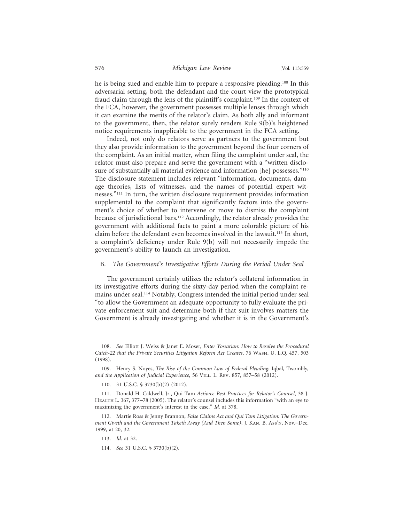he is being sued and enable him to prepare a responsive pleading.108 In this adversarial setting, both the defendant and the court view the prototypical fraud claim through the lens of the plaintiff's complaint.109 In the context of the FCA, however, the government possesses multiple lenses through which it can examine the merits of the relator's claim. As both ally and informant to the government, then, the relator surely renders Rule 9(b)'s heightened notice requirements inapplicable to the government in the FCA setting.

Indeed, not only do relators serve as partners to the government but they also provide information to the government beyond the four corners of the complaint. As an initial matter, when filing the complaint under seal, the relator must also prepare and serve the government with a "written disclosure of substantially all material evidence and information [he] possesses."<sup>110</sup> The disclosure statement includes relevant "information, documents, damage theories, lists of witnesses, and the names of potential expert witnesses."111 In turn, the written disclosure requirement provides information supplemental to the complaint that significantly factors into the government's choice of whether to intervene or move to dismiss the complaint because of jurisdictional bars.112 Accordingly, the relator already provides the government with additional facts to paint a more colorable picture of his claim before the defendant even becomes involved in the lawsuit.<sup>113</sup> In short, a complaint's deficiency under Rule 9(b) will not necessarily impede the government's ability to launch an investigation.

#### B. *The Government's Investigative Efforts During the Period Under Seal*

The government certainly utilizes the relator's collateral information in its investigative efforts during the sixty-day period when the complaint remains under seal.114 Notably, Congress intended the initial period under seal "to allow the Government an adequate opportunity to fully evaluate the private enforcement suit and determine both if that suit involves matters the Government is already investigating and whether it is in the Government's

<sup>108.</sup> *See* Elliott J. Weiss & Janet E. Moser, *Enter Yossarian: How to Resolve the Procedural Catch-22 that the Private Securities Litigation Reform Act Creates*, 76 Wash. U. L.Q. 457, 503 (1998).

<sup>109.</sup> Henry S. Noyes, *The Rise of the Common Law of Federal Pleading:* Iqbal*,* Twombly*,* and the Application of Judicial Experience, 56 VILL. L. REV. 857, 857–58 (2012).

<sup>110. 31</sup> U.S.C. § 3730(b)(2) (2012).

<sup>111.</sup> Donald H. Caldwell, Jr., Qui Tam *Actions: Best Practices for Relator's Counsel*, 38 J. Health L. 367, 377–78 (2005). The relator's counsel includes this information "with an eye to maximizing the government's interest in the case." *Id.* at 378.

<sup>112.</sup> Martie Ross & Jenny Brannon, *False Claims Act and Qui Tam Litigation: The Government Giveth and the Government Taketh Away (And Then Some)*, J. Kan. B. Ass'n, Nov.–Dec. 1999, at 20, 32.

<sup>113.</sup> *Id.* at 32.

<sup>114.</sup> *See* 31 U.S.C. § 3730(b)(2).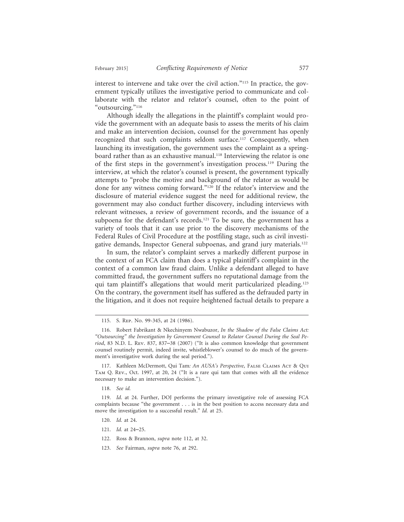interest to intervene and take over the civil action."115 In practice, the government typically utilizes the investigative period to communicate and collaborate with the relator and relator's counsel, often to the point of "outsourcing."116

Although ideally the allegations in the plaintiff's complaint would provide the government with an adequate basis to assess the merits of his claim and make an intervention decision, counsel for the government has openly recognized that such complaints seldom surface.<sup>117</sup> Consequently, when launching its investigation, the government uses the complaint as a springboard rather than as an exhaustive manual.<sup>118</sup> Interviewing the relator is one of the first steps in the government's investigation process.119 During the interview, at which the relator's counsel is present, the government typically attempts to "probe the motive and background of the relator as would be done for any witness coming forward."120 If the relator's interview and the disclosure of material evidence suggest the need for additional review, the government may also conduct further discovery, including interviews with relevant witnesses, a review of government records, and the issuance of a subpoena for the defendant's records.<sup>121</sup> To be sure, the government has a variety of tools that it can use prior to the discovery mechanisms of the Federal Rules of Civil Procedure at the postfiling stage, such as civil investigative demands, Inspector General subpoenas, and grand jury materials.122

In sum, the relator's complaint serves a markedly different purpose in the context of an FCA claim than does a typical plaintiff's complaint in the context of a common law fraud claim. Unlike a defendant alleged to have committed fraud, the government suffers no reputational damage from the qui tam plaintiff's allegations that would merit particularized pleading.<sup>123</sup> On the contrary, the government itself has suffered as the defrauded party in the litigation, and it does not require heightened factual details to prepare a

118. *See id.*

- 120. *Id.* at 24.
- 121. *Id.* at 24–25.
- 122. Ross & Brannon, *supra* note 112, at 32.
- 123. *See* Fairman, *supra* note 76, at 292.

<sup>115.</sup> S. Rep. No. 99-345, at 24 (1986).

<sup>116.</sup> Robert Fabrikant & Nkechinyem Nwabuzor, *In the Shadow of the False Claims Act: "Outsourcing" the Investigation by Government Counsel to Relator Counsel During the Seal Period*, 83 N.D. L. Rev. 837, 837–38 (2007) ("It is also common knowledge that government counsel routinely permit, indeed invite, whistleblower's counsel to do much of the government's investigative work during the seal period.").

<sup>117.</sup> Kathleen McDermott, Qui Tam*: An AUSA's Perspective*, False Claims Act & Qui Tam Q. Rev., Oct. 1997, at 20, 24 ("It is a rare qui tam that comes with all the evidence necessary to make an intervention decision.").

<sup>119.</sup> *Id*. at 24. Further, DOJ performs the primary investigative role of assessing FCA complaints because "the government . . . is in the best position to access necessary data and move the investigation to a successful result." *Id.* at 25.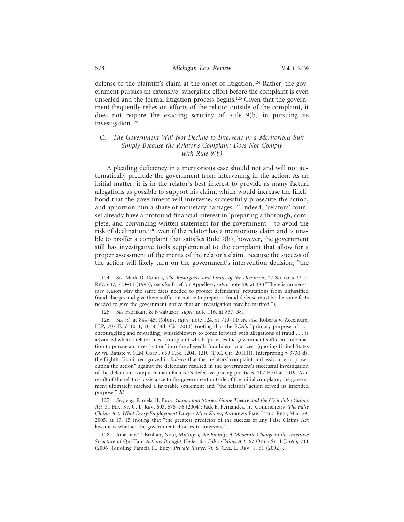defense to the plaintiff's claim at the onset of litigation.124 Rather, the government pursues an extensive, synergistic effort before the complaint is even unsealed and the formal litigation process begins.<sup>125</sup> Given that the government frequently relies on efforts of the relator outside of the complaint, it does not require the exacting scrutiny of Rule 9(b) in pursuing its investigation.126

#### C. *The Government Will Not Decline to Intervene in a Meritorious Suit Simply Because the Relator's Complaint Does Not Comply with Rule 9(b)*

A pleading deficiency in a meritorious case should not and will not automatically preclude the government from intervening in the action. As an initial matter, it is in the relator's best interest to provide as many factual allegations as possible to support his claim, which would increase the likelihood that the government will intervene, successfully prosecute the action, and apportion him a share of monetary damages.<sup>127</sup> Indeed, "relators' counsel already have a profound financial interest in 'preparing a thorough, complete, and convincing written statement for the government'" to avoid the risk of declination.128 Even if the relator has a meritorious claim and is unable to proffer a complaint that satisfies Rule 9(b), however, the government still has investigative tools supplemental to the complaint that allow for a proper assessment of the merits of the relator's claim. Because the success of the action will likely turn on the government's intervention decision, "the

<sup>124.</sup> See Mark D. Robins, *The Resurgence and Limits of the Demurrer*, 27 SUFFOLK U. L. Rev. 637, 710–11 (1993); *see also* Brief for Appellees, *supra* note 58, at 38 ("There is no necessary reason why the same facts needed to protect defendants' reputations from unjustified fraud charges and give them sufficient notice to prepare a fraud defense must be the same facts needed to give the government notice that an investigation may be merited.").

<sup>125.</sup> *See* Fabrikant & Nwabuzor, *supra* note 116, at 837–38.

<sup>126.</sup> *See id.* at 844–45; Robins, *supra* note 124, at 710–11; *see also* Roberts v. Accenture, LLP, 707 F.3d 1011, 1018 (8th Cir. 2013) (noting that the FCA's "primary purpose of . . . encourag[ing and rewarding] whistleblowers to come forward with allegations of fraud . . . is advanced when a relator files a complaint which 'provides the government sufficient information to pursue an investigation' into the allegedly fraudulent practices" (quoting United States *ex rel.* Batiste v. SLM Corp., 659 F.3d 1204, 1210 (D.C. Cir. 2011))). Interpreting § 3730(d), the Eighth Circuit recognized in *Roberts* that the "relators' complaint and assistance in prosecuting the action" against the defendant resulted in the government's successful investigation of the defendant computer manufacturer's defective pricing practices. 707 F.3d at 1019. As a result of the relators' assistance to the government outside of the initial complaint, the government ultimately reached a favorable settlement and "the relators' action served its intended purpose." *Id.*

<sup>127.</sup> *See, e.g.*, Pamela H. Bucy, *Games and Stories: Game Theory and the Civil False Claims Act*, 31 Fla. St. U. L. Rev. 603, 675–76 (2004); Jack E. Fernandez, Jr., Commentary, *The False Claims Act: What Every Employment Lawyer Must Know, ANDREWS EMP. LITIG. REP., Mar. 29,* 2005, at 13, 15 (noting that "the greatest predictor of the success of any False Claims Act lawsuit is whether the government chooses to intervene").

<sup>128.</sup> Jonathan T. Brollier, Note, *Mutiny of the Bounty: A Moderate Change in the Incentive Structure of* Qui Tam *Actions Brought Under the False Claims Act*, 67 Ohio St. L.J. 693, 711 (2006) (quoting Pamela H. Bucy, *Private Justice*, 76 S. Cal. L. Rev. 1, 51 (2002)).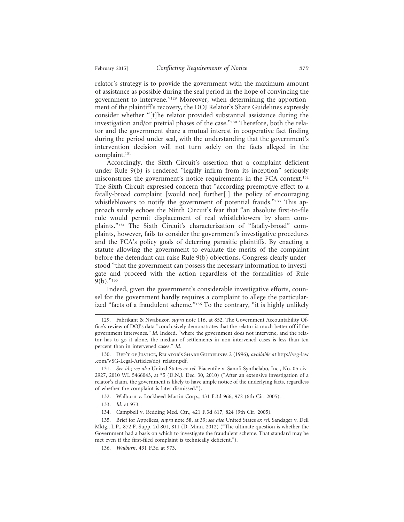relator's strategy is to provide the government with the maximum amount of assistance as possible during the seal period in the hope of convincing the government to intervene."129 Moreover, when determining the apportionment of the plaintiff's recovery, the DOJ Relator's Share Guidelines expressly consider whether "[t]he relator provided substantial assistance during the investigation and/or pretrial phases of the case."130 Therefore, both the relator and the government share a mutual interest in cooperative fact finding during the period under seal, with the understanding that the government's intervention decision will not turn solely on the facts alleged in the complaint.131

Accordingly, the Sixth Circuit's assertion that a complaint deficient under Rule 9(b) is rendered "legally infirm from its inception" seriously misconstrues the government's notice requirements in the FCA context.132 The Sixth Circuit expressed concern that "according preemptive effect to a fatally-broad complaint [would not] further[ ] the policy of encouraging whistleblowers to notify the government of potential frauds."<sup>133</sup> This approach surely echoes the Ninth Circuit's fear that "an absolute first-to-file rule would permit displacement of real whistleblowers by sham complaints."134 The Sixth Circuit's characterization of "fatally-broad" complaints, however, fails to consider the government's investigative procedures and the FCA's policy goals of deterring parasitic plaintiffs. By enacting a statute allowing the government to evaluate the merits of the complaint before the defendant can raise Rule 9(b) objections, Congress clearly understood "that the government can possess the necessary information to investigate and proceed with the action regardless of the formalities of Rule  $9(b)$ ."<sup>135</sup>

Indeed, given the government's considerable investigative efforts, counsel for the government hardly requires a complaint to allege the particularized "facts of a fraudulent scheme."<sup>136</sup> To the contrary, "it is highly unlikely

130. Dep't of Justice, Relator's Share Guidelines 2 (1996), *available at* http://vsg-law .com/VSG-Legal-Articles/doj\_relator.pdf.

131. *See id.*; *see also* United States *ex rel.* Piacentile v. Sanofi Synthelabo, Inc., No. 05-civ-2927, 2010 WL 5466043, at \*5 (D.N.J. Dec. 30, 2010) ("After an extensive investigation of a relator's claim, the government is likely to have ample notice of the underlying facts, regardless of whether the complaint is later dismissed.").

- 132. Walburn v. Lockheed Martin Corp., 431 F.3d 966, 972 (6th Cir. 2005).
- 133. *Id.* at 973.
- 134. Campbell v. Redding Med. Ctr., 421 F.3d 817, 824 (9th Cir. 2005).

<sup>129.</sup> Fabrikant & Nwabuzor, *supra* note 116, at 852. The Government Accountability Office's review of DOJ's data "conclusively demonstrates that the relator is much better off if the government intervenes." *Id.* Indeed, "where the government does not intervene, and the relator has to go it alone, the median of settlements in non-intervened cases is less than ten percent than in intervened cases." *Id.*

<sup>135.</sup> Brief for Appellees, *supra* note 58, at 39; *see also* United States *ex rel.* Sandager v. Dell Mktg., L.P., 872 F. Supp. 2d 801, 811 (D. Minn. 2012) ("The ultimate question is whether the Government had a basis on which to investigate the fraudulent scheme. That standard may be met even if the first-filed complaint is technically deficient.").

<sup>136.</sup> *Walburn*, 431 F.3d at 973.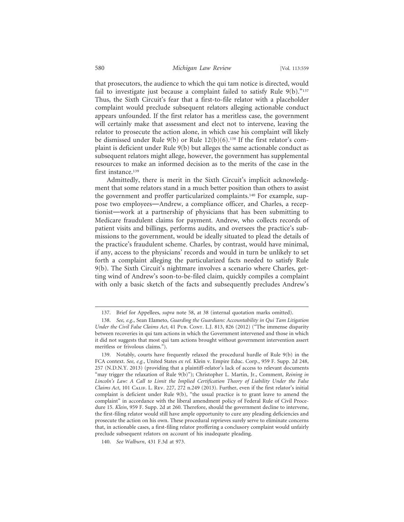that prosecutors, the audience to which the qui tam notice is directed, would fail to investigate just because a complaint failed to satisfy Rule  $9(b)$ ."<sup>137</sup> Thus, the Sixth Circuit's fear that a first-to-file relator with a placeholder complaint would preclude subsequent relators alleging actionable conduct appears unfounded. If the first relator has a meritless case, the government will certainly make that assessment and elect not to intervene, leaving the relator to prosecute the action alone, in which case his complaint will likely be dismissed under Rule 9(b) or Rule 12(b)(6).138 If the first relator's complaint is deficient under Rule 9(b) but alleges the same actionable conduct as subsequent relators might allege, however, the government has supplemental resources to make an informed decision as to the merits of the case in the first instance.<sup>139</sup>

Admittedly, there is merit in the Sixth Circuit's implicit acknowledgment that some relators stand in a much better position than others to assist the government and proffer particularized complaints.<sup>140</sup> For example, suppose two employees—Andrew, a compliance officer, and Charles, a receptionist—work at a partnership of physicians that has been submitting to Medicare fraudulent claims for payment. Andrew, who collects records of patient visits and billings, performs audits, and oversees the practice's submissions to the government, would be ideally situated to plead the details of the practice's fraudulent scheme. Charles, by contrast, would have minimal, if any, access to the physicians' records and would in turn be unlikely to set forth a complaint alleging the particularized facts needed to satisfy Rule 9(b). The Sixth Circuit's nightmare involves a scenario where Charles, getting wind of Andrew's soon-to-be-filed claim, quickly compiles a complaint with only a basic sketch of the facts and subsequently precludes Andrew's

<sup>137.</sup> Brief for Appellees, *supra* note 58, at 38 (internal quotation marks omitted).

<sup>138.</sup> *See, e.g.*, Sean Elameto, *Guarding the Guardians: Accountability in Qui Tam Litigation* Under the Civil False Claims Act, 41 Pub. Cont. L.J. 813, 826 (2012) ("The immense disparity between recoveries in qui tam actions in which the Government intervened and those in which it did not suggests that most qui tam actions brought without government intervention assert meritless or frivolous claims.").

<sup>139.</sup> Notably, courts have frequently relaxed the procedural hurdle of Rule 9(b) in the FCA context. *See, e.g.*, United States *ex rel.* Klein v. Empire Educ. Corp., 959 F. Supp. 2d 248, 257 (N.D.N.Y. 2013) (providing that a plaintiff-relator's lack of access to relevant documents "may trigger the relaxation of Rule 9(b)"); Christopher L. Martin, Jr., Comment, *Reining in Lincoln's Law: A Call to Limit the Implied Certification Theory of Liability Under the False Claims Act*, 101 Calif. L. Rev. 227, 272 n.249 (2013). Further, even if the first relator's initial complaint is deficient under Rule 9(b), "the usual practice is to grant leave to amend the complaint" in accordance with the liberal amendment policy of Federal Rule of Civil Procedure 15. *Klein*, 959 F. Supp. 2d at 260. Therefore, should the government decline to intervene, the first-filing relator would still have ample opportunity to cure any pleading deficiencies and prosecute the action on his own. These procedural reprieves surely serve to eliminate concerns that, in actionable cases, a first-filing relator proffering a conclusory complaint would unfairly preclude subsequent relators on account of his inadequate pleading.

<sup>140.</sup> *See Walburn*, 431 F.3d at 973.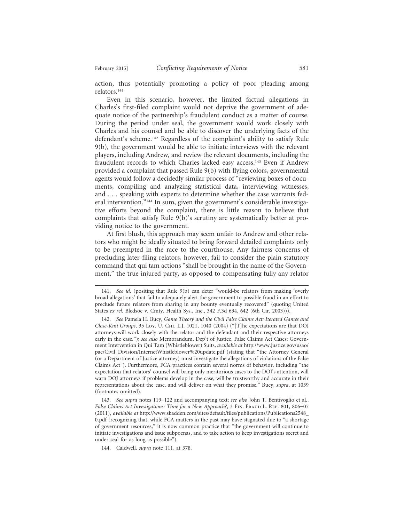action, thus potentially promoting a policy of poor pleading among relators.141

Even in this scenario, however, the limited factual allegations in Charles's first-filed complaint would not deprive the government of adequate notice of the partnership's fraudulent conduct as a matter of course. During the period under seal, the government would work closely with Charles and his counsel and be able to discover the underlying facts of the defendant's scheme.142 Regardless of the complaint's ability to satisfy Rule 9(b), the government would be able to initiate interviews with the relevant players, including Andrew, and review the relevant documents, including the fraudulent records to which Charles lacked easy access.<sup>143</sup> Even if Andrew provided a complaint that passed Rule 9(b) with flying colors, governmental agents would follow a decidedly similar process of "reviewing boxes of documents, compiling and analyzing statistical data, interviewing witnesses, and . . . speaking with experts to determine whether the case warrants federal intervention."<sup>144</sup> In sum, given the government's considerable investigative efforts beyond the complaint, there is little reason to believe that complaints that satisfy Rule 9(b)'s scrutiny are systematically better at providing notice to the government.

At first blush, this approach may seem unfair to Andrew and other relators who might be ideally situated to bring forward detailed complaints only to be preempted in the race to the courthouse. Any fairness concerns of precluding later-filing relators, however, fail to consider the plain statutory command that qui tam actions "shall be brought in the name of the Government," the true injured party, as opposed to compensating fully any relator

<sup>141.</sup> *See id.* (positing that Rule 9(b) can deter "would-be relators from making 'overly broad allegations' that fail to adequately alert the government to possible fraud in an effort to preclude future relators from sharing in any bounty eventually recovered" (quoting United States *ex rel.* Bledsoe v. Cmty. Health Sys., Inc., 342 F.3d 634, 642 (6th Cir. 2003))).

<sup>142.</sup> *See* Pamela H. Bucy, *Game Theory and the Civil False Claims Act: Iterated Games and Close-Knit Groups*, 35 Loy. U. Chi. L.J. 1021, 1040 (2004) ("[T]he expectations are that DOJ attorneys will work closely with the relator and the defendant and their respective attorneys early in the case."); *see also* Memorandum, Dep't of Justice, False Claims Act Cases: Government Intervention in Qui Tam (Whistleblower) Suits, *available at* http://www.justice.gov/usao/ pae/Civil\_Division/InternetWhistleblower%20update.pdf (stating that "the Attorney General (or a Department of Justice attorney) must investigate the allegations of violations of the False Claims Act"). Furthermore, FCA practices contain several norms of behavior, including "the expectation that relators' counsel will bring only meritorious cases to the DOJ's attention, will warn DOJ attorneys if problems develop in the case, will be trustworthy and accurate in their representations about the case, and will deliver on what they promise." Bucy, *supra*, at 1039 (footnotes omitted).

<sup>143.</sup> *See supra* notes 119–122 and accompanying text; *see also* John T. Bentivoglio et al., *False Claims Act Investigations: Time for a New Approach?*, 3 FIN. FRAUD L. REP. 801, 806–07 (2011), *available at* http://www.skadden.com/sites/default/files/publications/Publications2548\_ 0.pdf (recognizing that, while FCA matters in the past may have stagnated due to "a shortage of government resources," it is now common practice that "the government will continue to initiate investigations and issue subpoenas, and to take action to keep investigations secret and under seal for as long as possible").

<sup>144.</sup> Caldwell, *supra* note 111, at 378.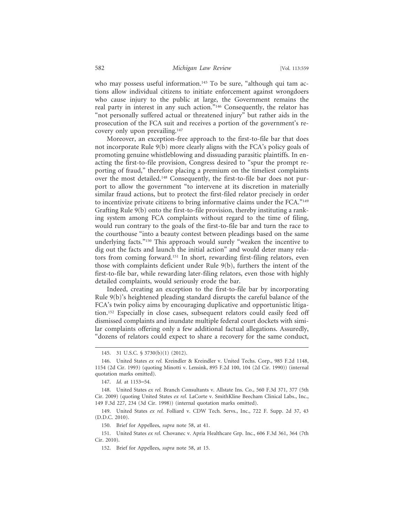who may possess useful information.<sup>145</sup> To be sure, "although qui tam actions allow individual citizens to initiate enforcement against wrongdoers who cause injury to the public at large, the Government remains the real party in interest in any such action."146 Consequently, the relator has "not personally suffered actual or threatened injury" but rather aids in the prosecution of the FCA suit and receives a portion of the government's recovery only upon prevailing.147

Moreover, an exception-free approach to the first-to-file bar that does not incorporate Rule 9(b) more clearly aligns with the FCA's policy goals of promoting genuine whistleblowing and dissuading parasitic plaintiffs. In enacting the first-to-file provision, Congress desired to "spur the prompt reporting of fraud," therefore placing a premium on the timeliest complaints over the most detailed.148 Consequently, the first-to-file bar does not purport to allow the government "to intervene at its discretion in materially similar fraud actions, but to protect the first-filed relator precisely in order to incentivize private citizens to bring informative claims under the FCA."149 Grafting Rule 9(b) onto the first-to-file provision, thereby instituting a ranking system among FCA complaints without regard to the time of filing, would run contrary to the goals of the first-to-file bar and turn the race to the courthouse "into a beauty contest between pleadings based on the same underlying facts."150 This approach would surely "weaken the incentive to dig out the facts and launch the initial action" and would deter many relators from coming forward.151 In short, rewarding first-filing relators, even those with complaints deficient under Rule 9(b), furthers the intent of the first-to-file bar, while rewarding later-filing relators, even those with highly detailed complaints, would seriously erode the bar.

Indeed, creating an exception to the first-to-file bar by incorporating Rule 9(b)'s heightened pleading standard disrupts the careful balance of the FCA's twin policy aims by encouraging duplicative and opportunistic litigation.152 Especially in close cases, subsequent relators could easily feed off dismissed complaints and inundate multiple federal court dockets with similar complaints offering only a few additional factual allegations. Assuredly, "dozens of relators could expect to share a recovery for the same conduct,

<sup>145. 31</sup> U.S.C. § 3730(b)(1) (2012).

<sup>146.</sup> United States *ex rel.* Kreindler & Kreindler v. United Techs. Corp., 985 F.2d 1148, 1154 (2d Cir. 1993) (quoting Minotti v. Lensink, 895 F.2d 100, 104 (2d Cir. 1990)) (internal quotation marks omitted).

<sup>147.</sup> *Id.* at 1153–54.

<sup>148.</sup> United States *ex rel.* Branch Consultants v. Allstate Ins. Co., 560 F.3d 371, 377 (5th Cir. 2009) (quoting United States *ex rel.* LaCorte v. SmithKline Beecham Clinical Labs., Inc., 149 F.3d 227, 234 (3d Cir. 1998)) (internal quotation marks omitted).

<sup>149.</sup> United States *ex rel.* Folliard v. CDW Tech. Servs., Inc., 722 F. Supp. 2d 37, 43 (D.D.C. 2010).

<sup>150.</sup> Brief for Appellees, *supra* note 58, at 41.

<sup>151.</sup> United States *ex rel.* Chovanec v. Apria Healthcare Grp. Inc., 606 F.3d 361, 364 (7th Cir. 2010).

<sup>152.</sup> Brief for Appellees, *supra* note 58, at 15.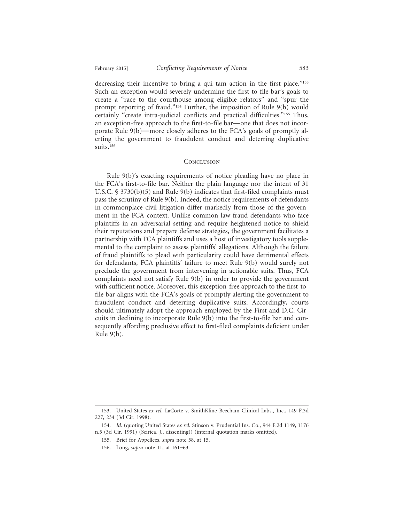decreasing their incentive to bring a qui tam action in the first place."<sup>153</sup> Such an exception would severely undermine the first-to-file bar's goals to create a "race to the courthouse among eligible relators" and "spur the prompt reporting of fraud."154 Further, the imposition of Rule 9(b) would certainly "create intra-judicial conflicts and practical difficulties."155 Thus, an exception-free approach to the first-to-file bar—one that does not incorporate Rule 9(b)—more closely adheres to the FCA's goals of promptly alerting the government to fraudulent conduct and deterring duplicative suits.<sup>156</sup>

#### **CONCLUSION**

Rule 9(b)'s exacting requirements of notice pleading have no place in the FCA's first-to-file bar. Neither the plain language nor the intent of 31 U.S.C. § 3730(b)(5) and Rule 9(b) indicates that first-filed complaints must pass the scrutiny of Rule 9(b). Indeed, the notice requirements of defendants in commonplace civil litigation differ markedly from those of the government in the FCA context. Unlike common law fraud defendants who face plaintiffs in an adversarial setting and require heightened notice to shield their reputations and prepare defense strategies, the government facilitates a partnership with FCA plaintiffs and uses a host of investigatory tools supplemental to the complaint to assess plaintiffs' allegations. Although the failure of fraud plaintiffs to plead with particularity could have detrimental effects for defendants, FCA plaintiffs' failure to meet Rule 9(b) would surely not preclude the government from intervening in actionable suits. Thus, FCA complaints need not satisfy Rule 9(b) in order to provide the government with sufficient notice. Moreover, this exception-free approach to the first-tofile bar aligns with the FCA's goals of promptly alerting the government to fraudulent conduct and deterring duplicative suits. Accordingly, courts should ultimately adopt the approach employed by the First and D.C. Circuits in declining to incorporate Rule 9(b) into the first-to-file bar and consequently affording preclusive effect to first-filed complaints deficient under Rule 9(b).

<sup>153.</sup> United States *ex rel.* LaCorte v. SmithKline Beecham Clinical Labs., Inc., 149 F.3d 227, 234 (3d Cir. 1998).

<sup>154.</sup> *Id.* (quoting United States *ex rel.* Stinson v. Prudential Ins. Co., 944 F.2d 1149, 1176 n.5 (3d Cir. 1991) (Scirica, J., dissenting)) (internal quotation marks omitted).

<sup>155.</sup> Brief for Appellees, *supra* note 58, at 15.

<sup>156.</sup> Long, *supra* note 11, at 161–63.